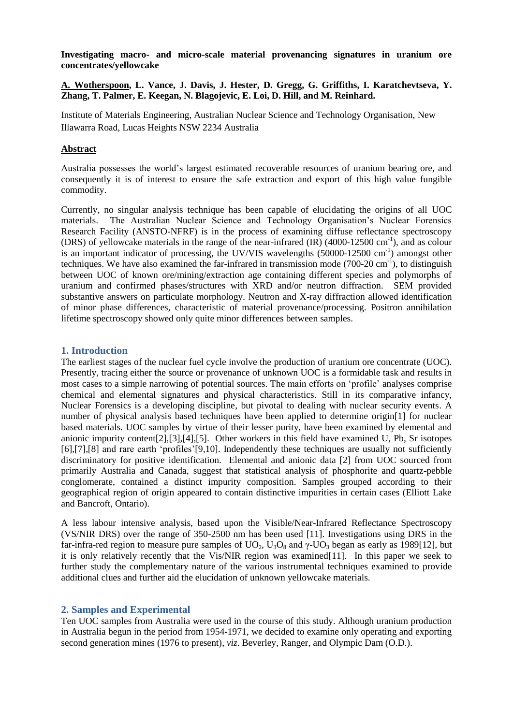**Investigating macro- and micro-scale material provenancing signatures in uranium ore concentrates/yellowcake**

**A. Wotherspoon, L. Vance, J. Davis, J. Hester, D. Gregg, G. Griffiths, I. Karatchevtseva, Y. Zhang, T. Palmer, E. Keegan, N. Blagojevic, E. Loi, D. Hill, and M. Reinhard.**

Institute of Materials Engineering, Australian Nuclear Science and Technology Organisation, New Illawarra Road, Lucas Heights NSW 2234 Australia

#### **Abstract**

Australia possesses the world's largest estimated recoverable resources of uranium bearing ore, and consequently it is of interest to ensure the safe extraction and export of this high value fungible commodity.

Currently, no singular analysis technique has been capable of elucidating the origins of all UOC materials. The Australian Nuclear Science and Technology Organisation's Nuclear Forensics Research Facility (ANSTO-NFRF) is in the process of examining diffuse reflectance spectroscopy (DRS) of yellowcake materials in the range of the near-infrared (IR) (4000-12500 cm-1 ), and as colour is an important indicator of processing, the UV/VIS wavelengths (50000-12500 cm<sup>-1</sup>) amongst other techniques. We have also examined the far-infrared in transmission mode  $(700-20 \text{ cm}^{-1})$ , to distinguish between UOC of known ore/mining/extraction age containing different species and polymorphs of uranium and confirmed phases/structures with XRD and/or neutron diffraction. SEM provided substantive answers on particulate morphology. Neutron and X-ray diffraction allowed identification of minor phase differences, characteristic of material provenance/processing. Positron annihilation lifetime spectroscopy showed only quite minor differences between samples.

#### **1. Introduction**

The earliest stages of the nuclear fuel cycle involve the production of uranium ore concentrate (UOC). Presently, tracing either the source or provenance of unknown UOC is a formidable task and results in most cases to a simple narrowing of potential sources. The main efforts on 'profile' analyses comprise chemical and elemental signatures and physical characteristics. Still in its comparative infancy, Nuclear Forensics is a developing discipline, but pivotal to dealing with nuclear security events. A number of physical analysis based techniques have been applied to determine origin[\[1\]](#page-9-0) for nuclear based materials. UOC samples by virtue of their lesser purity, have been examined by elemental and anionic impurity content[\[2\]](#page-9-1),[\[3\]](#page-9-2),[\[4\]](#page-9-3),[\[5\]](#page-9-4). Other workers in this field have examined U, Pb, Sr isotopes [\[6\]](#page-9-5),[\[7\]](#page-9-6),[\[8\]](#page-9-7) and rare earth 'profiles'[\[9,](#page-9-8)[10\]](#page-9-9). Independently these techniques are usually not sufficiently discriminatory for positive identification. Elemental and anionic data [2] from UOC sourced from primarily Australia and Canada, suggest that statistical analysis of phosphorite and quartz-pebble conglomerate, contained a distinct impurity composition. Samples grouped according to their geographical region of origin appeared to contain distinctive impurities in certain cases (Elliott Lake and Bancroft, Ontario).

A less labour intensive analysis, based upon the Visible/Near-Infrared Reflectance Spectroscopy (VS/NIR DRS) over the range of 350-2500 nm has been used [\[11\]](#page-9-10). Investigations using DRS in the far-infra-red region to measure pure samples of UO<sub>2</sub>, U<sub>3</sub>O<sub>8</sub> and  $\gamma$ -UO<sub>3</sub> began as early as 1989[\[12\]](#page-9-11), but it is only relatively recently that the Vis/NIR region was examined[\[11\]](#page-9-10). In this paper we seek to further study the complementary nature of the various instrumental techniques examined to provide additional clues and further aid the elucidation of unknown yellowcake materials.

# **2. Samples and Experimental**

Ten UOC samples from Australia were used in the course of this study. Although uranium production in Australia begun in the period from 1954-1971, we decided to examine only operating and exporting second generation mines (1976 to present), *viz*. Beverley, Ranger, and Olympic Dam (O.D.).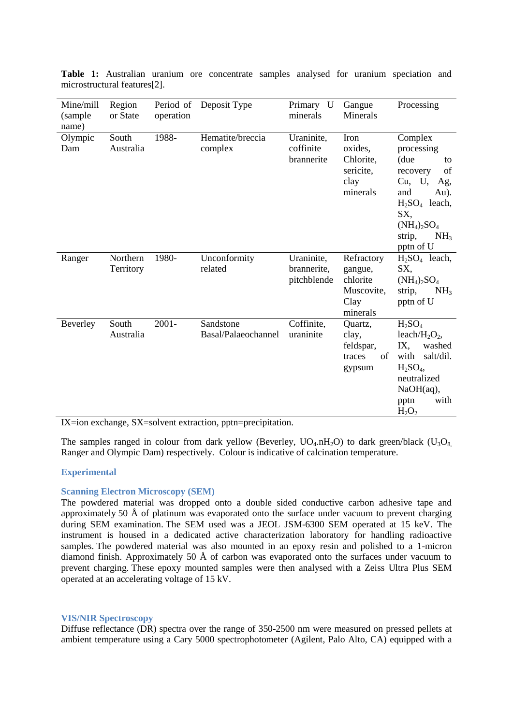| Mine/mill<br>(sample)<br>name) | Region<br>or State    | Period of<br>operation | Deposit Type                     | Primary U<br>minerals                    | Gangue<br><b>Minerals</b>                                           | Processing                                                                                                                                                                             |
|--------------------------------|-----------------------|------------------------|----------------------------------|------------------------------------------|---------------------------------------------------------------------|----------------------------------------------------------------------------------------------------------------------------------------------------------------------------------------|
| Olympic<br>Dam                 | South<br>Australia    | 1988-                  | Hematite/breccia<br>complex      | Uraninite,<br>coffinite<br>brannerite    | Iron<br>oxides,<br>Chlorite,<br>sericite,<br>clay<br>minerals       | Complex<br>processing<br>(due<br>to<br>of<br>recovery<br>Cu, U,<br>Ag,<br>and<br>Au).<br>$H2SO4$ leach,<br>SX,<br>$(NH_4)_2SO_4$<br>strip,<br>NH <sub>3</sub><br>pptn of U             |
| Ranger                         | Northern<br>Territory | 1980-                  | Unconformity<br>related          | Uraninite,<br>brannerite,<br>pitchblende | Refractory<br>gangue,<br>chlorite<br>Muscovite,<br>Clay<br>minerals | $H2SO4$ leach,<br>SX,<br>$(NH_4)_2SO_4$<br>NH <sub>3</sub><br>strip,<br>pptn of U                                                                                                      |
| Beverley                       | South<br>Australia    | $2001 -$               | Sandstone<br>Basal/Palaeochannel | Coffinite,<br>uraninite                  | Quartz,<br>clay,<br>feldspar,<br>of<br>traces<br>gypsum             | H <sub>2</sub> SO <sub>4</sub><br>leach/ $H_2O_2$ ,<br>IX,<br>washed<br>salt/dil.<br>with<br>H <sub>2</sub> SO <sub>4</sub><br>neutralized<br>$NaOH(aq)$ ,<br>with<br>pptn<br>$H_2O_2$ |

**Table 1:** Australian uranium ore concentrate samples analysed for uranium speciation and microstructural features[\[2\]](#page-9-1).

IX=ion exchange, SX=solvent extraction, pptn=precipitation.

The samples ranged in colour from dark yellow (Beverley,  $UQ_4 \nvert H_2O$ ) to dark green/black ( $U_3O_8$ , Ranger and Olympic Dam) respectively. Colour is indicative of calcination temperature.

# **Experimental**

#### **Scanning Electron Microscopy (SEM)**

The powdered material was dropped onto a double sided conductive carbon adhesive tape and approximately 50 Å of platinum was evaporated onto the surface under vacuum to prevent charging during SEM examination. The SEM used was a JEOL JSM-6300 SEM operated at 15 keV. The instrument is housed in a dedicated active characterization laboratory for handling radioactive samples. The powdered material was also mounted in an epoxy resin and polished to a 1-micron diamond finish. Approximately 50 Å of carbon was evaporated onto the surfaces under vacuum to prevent charging. These epoxy mounted samples were then analysed with a Zeiss Ultra Plus SEM operated at an accelerating voltage of 15 kV.

#### **VIS/NIR Spectroscopy**

Diffuse reflectance (DR) spectra over the range of 350-2500 nm were measured on pressed pellets at ambient temperature using a Cary 5000 spectrophotometer (Agilent, Palo Alto, CA) equipped with a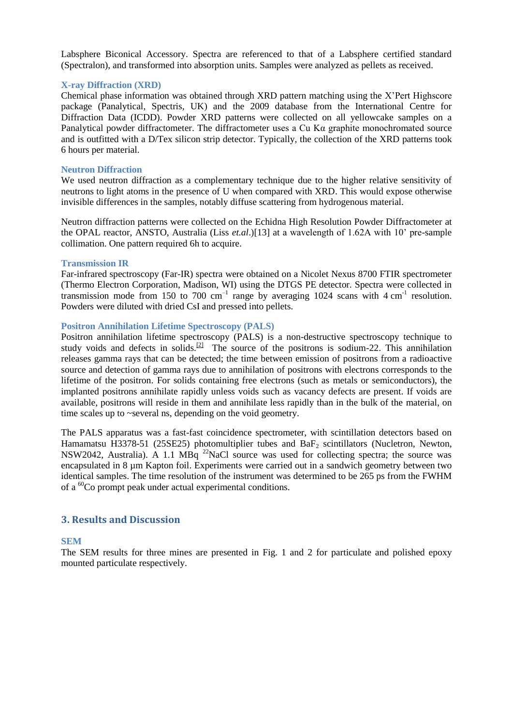Labsphere Biconical Accessory. Spectra are referenced to that of a Labsphere certified standard (Spectralon), and transformed into absorption units. Samples were analyzed as pellets as received.

#### **X-ray Diffraction (XRD)**

Chemical phase information was obtained through XRD pattern matching using the X'Pert Highscore package (Panalytical, Spectris, UK) and the 2009 database from the International Centre for Diffraction Data (ICDD). Powder XRD patterns were collected on all yellowcake samples on a Panalytical powder diffractometer. The diffractometer uses a Cu K $\alpha$  graphite monochromated source and is outfitted with a D/Tex silicon strip detector. Typically, the collection of the XRD patterns took 6 hours per material.

#### **Neutron Diffraction**

We used neutron diffraction as a complementary technique due to the higher relative sensitivity of neutrons to light atoms in the presence of U when compared with XRD. This would expose otherwise invisible differences in the samples, notably diffuse scattering from hydrogenous material.

Neutron diffraction patterns were collected on the Echidna High Resolution Powder Diffractometer at the OPAL reactor, ANSTO, Australia (Liss *et.al*.)[13] at a wavelength of 1.62A with 10' pre-sample collimation. One pattern required 6h to acquire.

#### **Transmission IR**

Far-infrared spectroscopy (Far-IR) spectra were obtained on a Nicolet Nexus 8700 FTIR spectrometer (Thermo Electron Corporation, Madison, WI) using the DTGS PE detector. Spectra were collected in transmission mode from 150 to 700  $cm^{-1}$  range by averaging 1024 scans with 4  $cm^{-1}$  resolution. Powders were diluted with dried CsI and pressed into pellets.

#### **Positron Annihilation Lifetime Spectroscopy (PALS)**

Positron annihilation lifetime spectroscopy (PALS) is a non-destructive [spectroscopy](http://en.wikipedia.org/wiki/Spectroscopy) technique to study voids and defects in solids.<sup>[\[2\]](http://en.wikipedia.org/wiki/Positron_annihilation_spectroscopy#cite_note-2)</sup> The source of the positrons is sodium-22. This annihilation releases [gamma rays](http://en.wikipedia.org/wiki/Gamma_ray) that can be detected; the time between emission of positrons from a [radioactive](http://en.wikipedia.org/wiki/Radioactive) source and detection of gamma rays due to annihilation of positrons with electrons corresponds to the lifetime of the positron. For solids containing free electrons (such as [metals](http://en.wikipedia.org/wiki/Metal) or [semiconductors\)](http://en.wikipedia.org/wiki/Semiconductor), the implanted positrons annihilate rapidly unless voids such as [vacancy defects](http://en.wikipedia.org/wiki/Vacancy_defect) are present. If voids are available, positrons will reside in them and annihilate less rapidly than in the bulk of the material, on time scales up to ~several ns, depending on the void geometry.

The PALS apparatus was a fast-fast coincidence spectrometer, with scintillation detectors based on Hamamatsu H3378-51 (25SE25) photomultiplier tubes and  $BaF<sub>2</sub>$  scintillators (Nucletron, Newton, NSW2042, Australia). A 1.1 MBq  $^{22}$ NaCl source was used for collecting spectra; the source was encapsulated in 8 µm Kapton foil. Experiments were carried out in a sandwich geometry between two identical samples. The time resolution of the instrument was determined to be 265 ps from the FWHM of a <sup>60</sup>Co prompt peak under actual experimental conditions.

# **3. Results and Discussion**

# **SEM**

The SEM results for three mines are presented in Fig. 1 and 2 for particulate and polished epoxy mounted particulate respectively.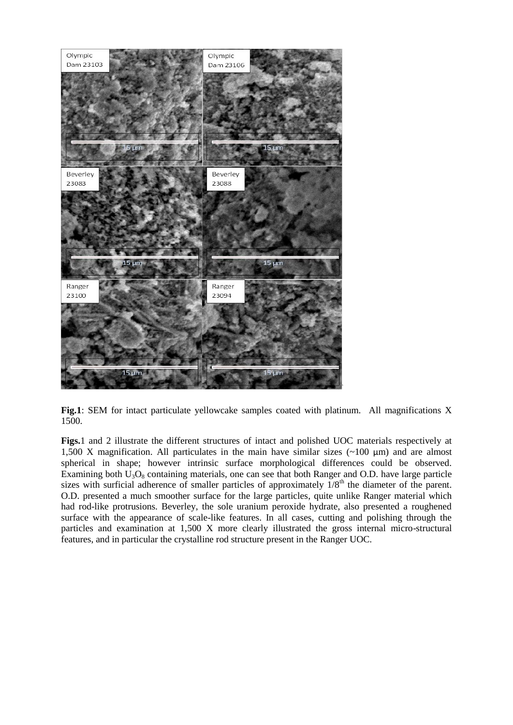

**Fig.1**: SEM for intact particulate yellowcake samples coated with platinum. All magnifications X 1500.

**Figs.**1 and 2 illustrate the different structures of intact and polished UOC materials respectively at 1,500 X magnification. All particulates in the main have similar sizes  $(\sim 100 \text{ µm})$  and are almost spherical in shape; however intrinsic surface morphological differences could be observed. Examining both  $U_3O_8$  containing materials, one can see that both Ranger and O.D. have large particle sizes with surficial adherence of smaller particles of approximately  $1/8<sup>th</sup>$  the diameter of the parent. O.D. presented a much smoother surface for the large particles, quite unlike Ranger material which had rod-like protrusions. Beverley, the sole uranium peroxide hydrate, also presented a roughened surface with the appearance of scale-like features. In all cases, cutting and polishing through the particles and examination at 1,500 X more clearly illustrated the gross internal micro-structural features, and in particular the crystalline rod structure present in the Ranger UOC.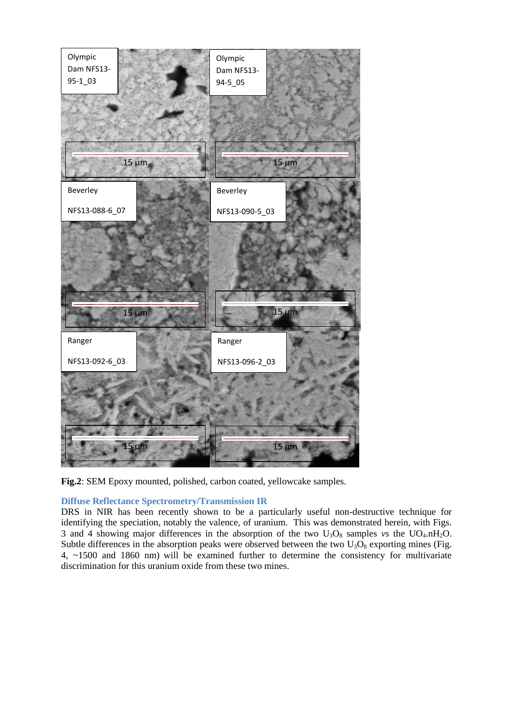

**Fig.2**: SEM Epoxy mounted, polished, carbon coated, yellowcake samples.

# **Diffuse Reflectance Spectrometry/Transmission IR**

DRS in NIR has been recently shown to be a particularly useful non-destructive technique for identifying the speciation, notably the valence, of uranium. This was demonstrated herein, with Figs. 3 and 4 showing major differences in the absorption of the two  $U_3O_8$  samples *vs* the  $UO_4 \cdot nH_2O$ . Subtle differences in the absorption peaks were observed between the two  $U_3O_8$  exporting mines (Fig. 4, ~1500 and 1860 nm) will be examined further to determine the consistency for multivariate discrimination for this uranium oxide from these two mines.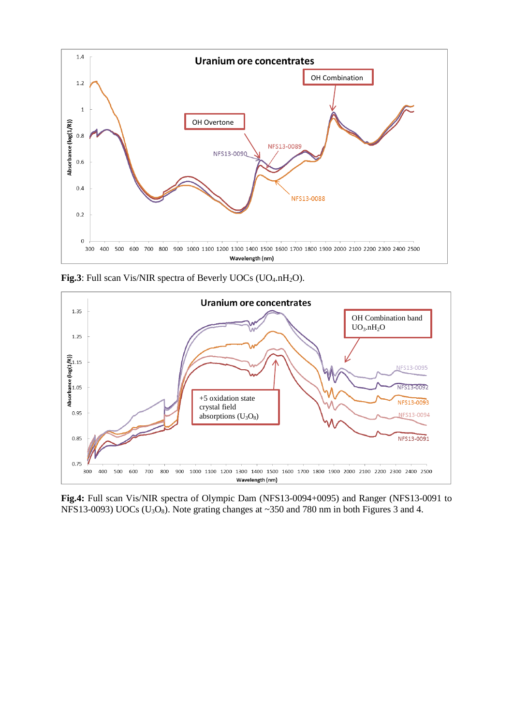

**Fig.3**: Full scan Vis/NIR spectra of Beverly UOCs (UO<sub>4</sub>.nH<sub>2</sub>O).



**Fig.4:** Full scan Vis/NIR spectra of Olympic Dam (NFS13-0094+0095) and Ranger (NFS13-0091 to NFS13-0093) UOCs ( $U_3O_8$ ). Note grating changes at ~350 and 780 nm in both Figures 3 and 4.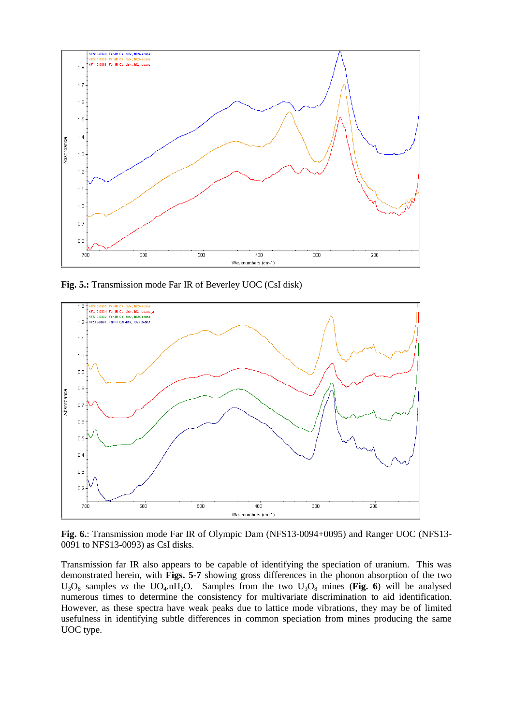

**Fig. 5.:** Transmission mode Far IR of Beverley UOC (CsI disk)



**Fig. 6.**: Transmission mode Far IR of Olympic Dam (NFS13-0094+0095) and Ranger UOC (NFS13- 0091 to NFS13-0093) as CsI disks.

Transmission far IR also appears to be capable of identifying the speciation of uranium. This was demonstrated herein, with **Figs. 5-7** showing gross differences in the phonon absorption of the two  $U_3O_8$  samples *vs* the UO<sub>4</sub>.nH<sub>2</sub>O. Samples from the two  $U_3O_8$  mines (Fig. 6) will be analysed numerous times to determine the consistency for multivariate discrimination to aid identification. However, as these spectra have weak peaks due to lattice mode vibrations, they may be of limited usefulness in identifying subtle differences in common speciation from mines producing the same UOC type.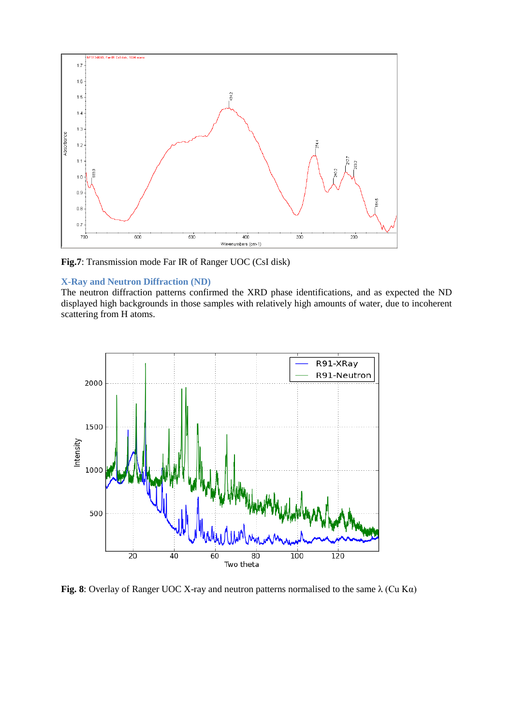

**Fig.7**: Transmission mode Far IR of Ranger UOC (CsI disk)

# **X-Ray and Neutron Diffraction (ND)**

The neutron diffraction patterns confirmed the XRD phase identifications, and as expected the ND displayed high backgrounds in those samples with relatively high amounts of water, due to incoherent scattering from H atoms.



**Fig. 8**: Overlay of Ranger UOC X-ray and neutron patterns normalised to the same λ (Cu Kα)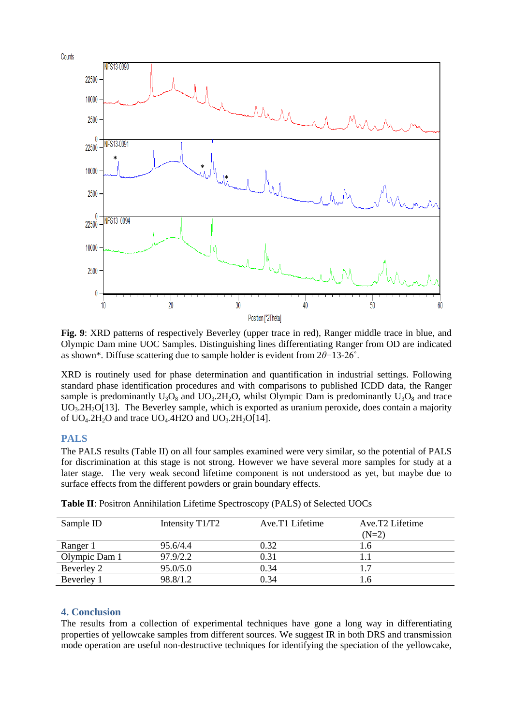

**Fig. 9**: XRD patterns of respectively Beverley (upper trace in red), Ranger middle trace in blue, and Olympic Dam mine UOC Samples. Distinguishing lines differentiating Ranger from OD are indicated as shown\*. Diffuse scattering due to sample holder is evident from 2*θ*=13-26˚.

XRD is routinely used for phase determination and quantification in industrial settings. Following standard phase identification procedures and with comparisons to published ICDD data, the Ranger sample is predominantly  $U_3O_8$  and  $UO_3.2H_2O$ , whilst Olympic Dam is predominantly  $U_3O_8$  and trace  $UO<sub>3</sub>2H<sub>2</sub>O[13]$  $UO<sub>3</sub>2H<sub>2</sub>O[13]$ . The Beverley sample, which is exported as uranium peroxide, does contain a majority of  $UO<sub>4</sub>$ .2H<sub>2</sub>O and trace  $UO<sub>4</sub>$ .4H2O and  $UO<sub>3</sub>$ .2H<sub>2</sub>O[\[14\]](#page-9-13).

# **PALS**

The PALS results (Table II) on all four samples examined were very similar, so the potential of PALS for discrimination at this stage is not strong. However we have several more samples for study at a later stage. The very weak second lifetime component is not understood as yet, but maybe due to surface effects from the different powders or grain boundary effects.

| Sample ID     | Intensity T1/T2 | Ave.T1 Lifetime | Ave.T <sub>2</sub> Lifetime |
|---------------|-----------------|-----------------|-----------------------------|
|               |                 |                 | $(N=2)$                     |
| Ranger 1      | 95.6/4.4        | 0.32            | l.6                         |
| Olympic Dam 1 | 97.9/2.2        | 0.31            |                             |
| Beverley 2    | 95.0/5.0        | 0.34            | 17                          |
| Beverley 1    | 98.8/1.2        | 0.34            | L.6                         |

**Table II**: Positron Annihilation Lifetime Spectroscopy (PALS) of Selected UOCs

# **4. Conclusion**

The results from a collection of experimental techniques have gone a long way in differentiating properties of yellowcake samples from different sources. We suggest IR in both DRS and transmission mode operation are useful non-destructive techniques for identifying the speciation of the yellowcake,